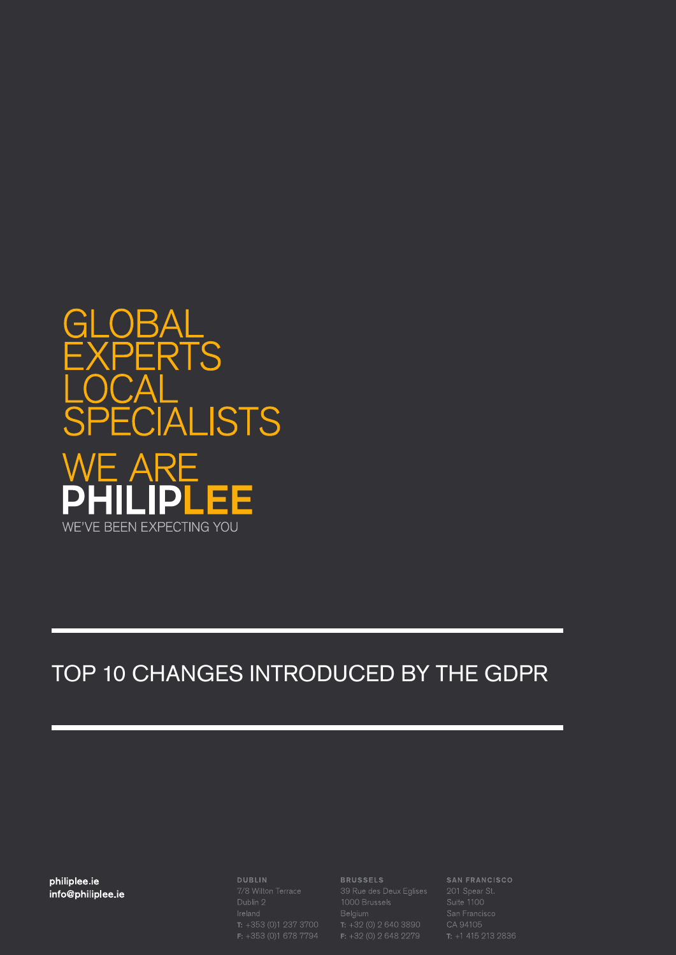

## TOP 10 CHANGES INTRODUCED BY THE GDPR

**philiplee.ie** philiplee.ie info@philiplee.ie

**DUBLIN** 

#### **BRUSSELS**

**BRUSSELS**<br>39 Rue des Deux Eglises<br>1000 Brussels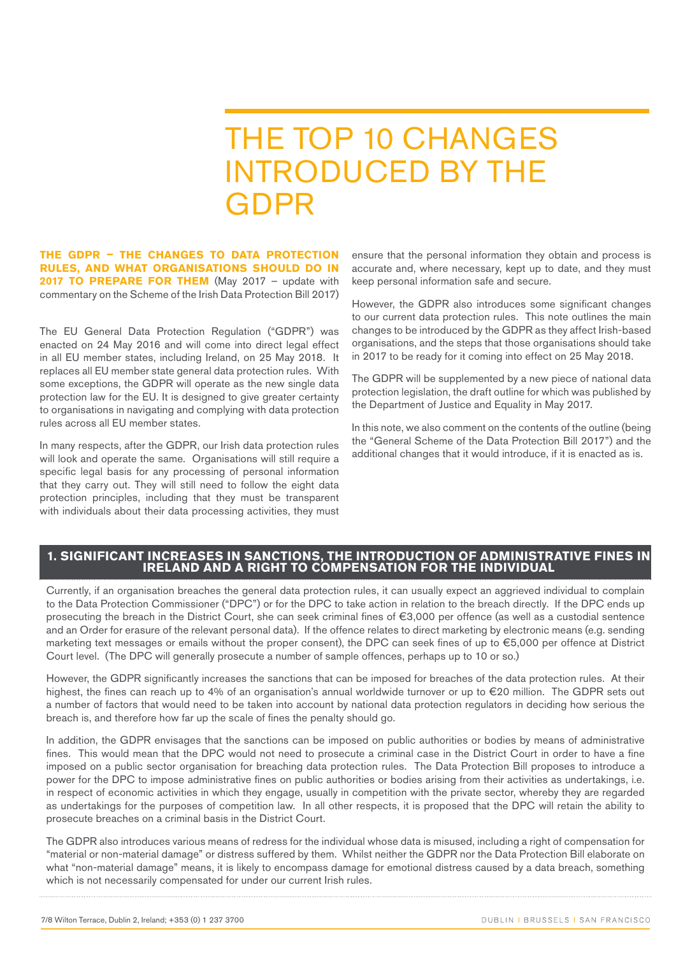# THE TOP 10 CHANGES INTRODUCED BY THE GDPR

**THE GDPR – THE CHANGES TO DATA PROTECTION RULES, AND WHAT ORGANISATIONS SHOULD DO IN**  2017 TO PREPARE FOR THEM (May 2017 - update with commentary on the Scheme of the Irish Data Protection Bill 2017)

The EU General Data Protection Regulation ("GDPR") was enacted on 24 May 2016 and will come into direct legal effect in all EU member states, including Ireland, on 25 May 2018. It replaces all EU member state general data protection rules. With some exceptions, the GDPR will operate as the new single data protection law for the EU. It is designed to give greater certainty to organisations in navigating and complying with data protection rules across all EU member states.

In many respects, after the GDPR, our Irish data protection rules will look and operate the same. Organisations will still require a specific legal basis for any processing of personal information that they carry out. They will still need to follow the eight data protection principles, including that they must be transparent with individuals about their data processing activities, they must ensure that the personal information they obtain and process is accurate and, where necessary, kept up to date, and they must keep personal information safe and secure.

However, the GDPR also introduces some significant changes to our current data protection rules. This note outlines the main changes to be introduced by the GDPR as they affect Irish-based organisations, and the steps that those organisations should take in 2017 to be ready for it coming into effect on 25 May 2018.

The GDPR will be supplemented by a new piece of national data protection legislation, the draft outline for which was published by the Department of Justice and Equality in May 2017.

In this note, we also comment on the contents of the outline (being the "General Scheme of the Data Protection Bill 2017") and the additional changes that it would introduce, if it is enacted as is.

## **1. SIGNIFICANT INCREASES IN SANCTIONS, THE INTRODUCTION OF ADMINISTRATIVE FINES IN IRELAND AND A RIGHT TO COMPENSATION FOR THE INDIVIDUAL**

Currently, if an organisation breaches the general data protection rules, it can usually expect an aggrieved individual to complain to the Data Protection Commissioner ("DPC") or for the DPC to take action in relation to the breach directly. If the DPC ends up prosecuting the breach in the District Court, she can seek criminal fines of €3,000 per offence (as well as a custodial sentence and an Order for erasure of the relevant personal data). If the offence relates to direct marketing by electronic means (e.g. sending marketing text messages or emails without the proper consent), the DPC can seek fines of up to €5,000 per offence at District Court level. (The DPC will generally prosecute a number of sample offences, perhaps up to 10 or so.)

However, the GDPR significantly increases the sanctions that can be imposed for breaches of the data protection rules. At their highest, the fines can reach up to 4% of an organisation's annual worldwide turnover or up to €20 million. The GDPR sets out a number of factors that would need to be taken into account by national data protection regulators in deciding how serious the breach is, and therefore how far up the scale of fines the penalty should go.

In addition, the GDPR envisages that the sanctions can be imposed on public authorities or bodies by means of administrative fines. This would mean that the DPC would not need to prosecute a criminal case in the District Court in order to have a fine imposed on a public sector organisation for breaching data protection rules. The Data Protection Bill proposes to introduce a power for the DPC to impose administrative fines on public authorities or bodies arising from their activities as undertakings, i.e. in respect of economic activities in which they engage, usually in competition with the private sector, whereby they are regarded as undertakings for the purposes of competition law. In all other respects, it is proposed that the DPC will retain the ability to prosecute breaches on a criminal basis in the District Court.

The GDPR also introduces various means of redress for the individual whose data is misused, including a right of compensation for "material or non-material damage" or distress suffered by them. Whilst neither the GDPR nor the Data Protection Bill elaborate on what "non-material damage" means, it is likely to encompass damage for emotional distress caused by a data breach, something which is not necessarily compensated for under our current Irish rules.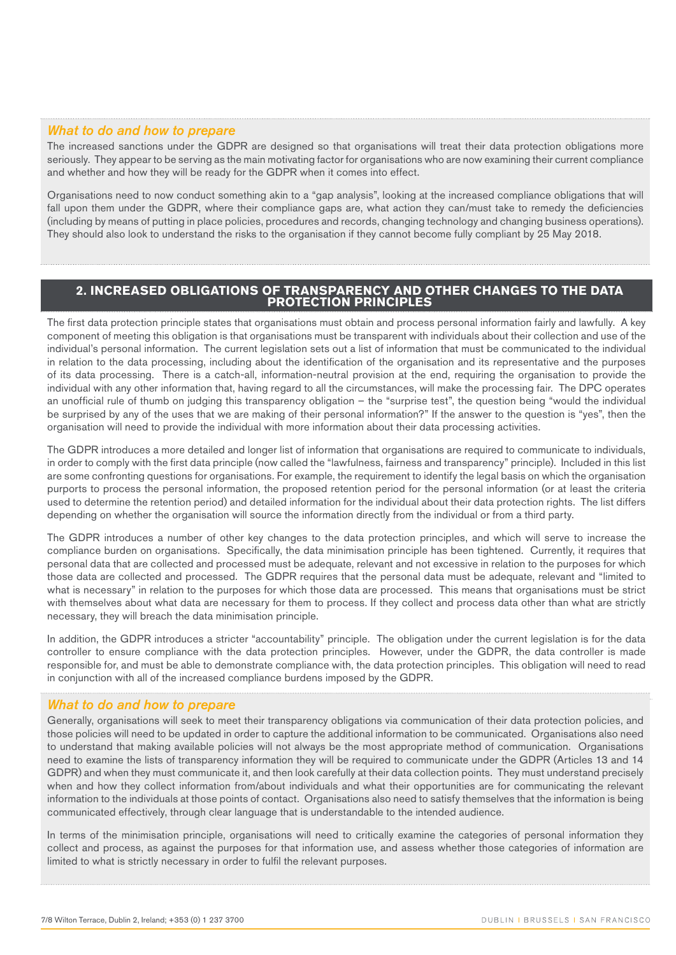## *What to do and how to prepare*

The increased sanctions under the GDPR are designed so that organisations will treat their data protection obligations more seriously. They appear to be serving as the main motivating factor for organisations who are now examining their current compliance and whether and how they will be ready for the GDPR when it comes into effect.

Organisations need to now conduct something akin to a "gap analysis", looking at the increased compliance obligations that will fall upon them under the GDPR, where their compliance gaps are, what action they can/must take to remedy the deficiencies (including by means of putting in place policies, procedures and records, changing technology and changing business operations). They should also look to understand the risks to the organisation if they cannot become fully compliant by 25 May 2018.

## **2. INCREASED OBLIGATIONS OF TRANSPARENCY AND OTHER CHANGES TO THE DATA PROTECTION PRINCIPLES**

The first data protection principle states that organisations must obtain and process personal information fairly and lawfully. A key component of meeting this obligation is that organisations must be transparent with individuals about their collection and use of the individual's personal information. The current legislation sets out a list of information that must be communicated to the individual in relation to the data processing, including about the identification of the organisation and its representative and the purposes of its data processing. There is a catch-all, information-neutral provision at the end, requiring the organisation to provide the individual with any other information that, having regard to all the circumstances, will make the processing fair. The DPC operates an unofficial rule of thumb on judging this transparency obligation – the "surprise test", the question being "would the individual be surprised by any of the uses that we are making of their personal information?" If the answer to the question is "yes", then the organisation will need to provide the individual with more information about their data processing activities.

The GDPR introduces a more detailed and longer list of information that organisations are required to communicate to individuals, in order to comply with the first data principle (now called the "lawfulness, fairness and transparency" principle). Included in this list are some confronting questions for organisations. For example, the requirement to identify the legal basis on which the organisation purports to process the personal information, the proposed retention period for the personal information (or at least the criteria used to determine the retention period) and detailed information for the individual about their data protection rights. The list differs depending on whether the organisation will source the information directly from the individual or from a third party.

The GDPR introduces a number of other key changes to the data protection principles, and which will serve to increase the compliance burden on organisations. Specifically, the data minimisation principle has been tightened. Currently, it requires that personal data that are collected and processed must be adequate, relevant and not excessive in relation to the purposes for which those data are collected and processed. The GDPR requires that the personal data must be adequate, relevant and "limited to what is necessary" in relation to the purposes for which those data are processed. This means that organisations must be strict with themselves about what data are necessary for them to process. If they collect and process data other than what are strictly necessary, they will breach the data minimisation principle.

In addition, the GDPR introduces a stricter "accountability" principle. The obligation under the current legislation is for the data controller to ensure compliance with the data protection principles. However, under the GDPR, the data controller is made responsible for, and must be able to demonstrate compliance with, the data protection principles. This obligation will need to read in conjunction with all of the increased compliance burdens imposed by the GDPR.

#### *What to do and how to prepare*

Generally, organisations will seek to meet their transparency obligations via communication of their data protection policies, and those policies will need to be updated in order to capture the additional information to be communicated. Organisations also need to understand that making available policies will not always be the most appropriate method of communication. Organisations need to examine the lists of transparency information they will be required to communicate under the GDPR (Articles 13 and 14 GDPR) and when they must communicate it, and then look carefully at their data collection points. They must understand precisely when and how they collect information from/about individuals and what their opportunities are for communicating the relevant information to the individuals at those points of contact. Organisations also need to satisfy themselves that the information is being communicated effectively, through clear language that is understandable to the intended audience.

In terms of the minimisation principle, organisations will need to critically examine the categories of personal information they collect and process, as against the purposes for that information use, and assess whether those categories of information are limited to what is strictly necessary in order to fulfil the relevant purposes.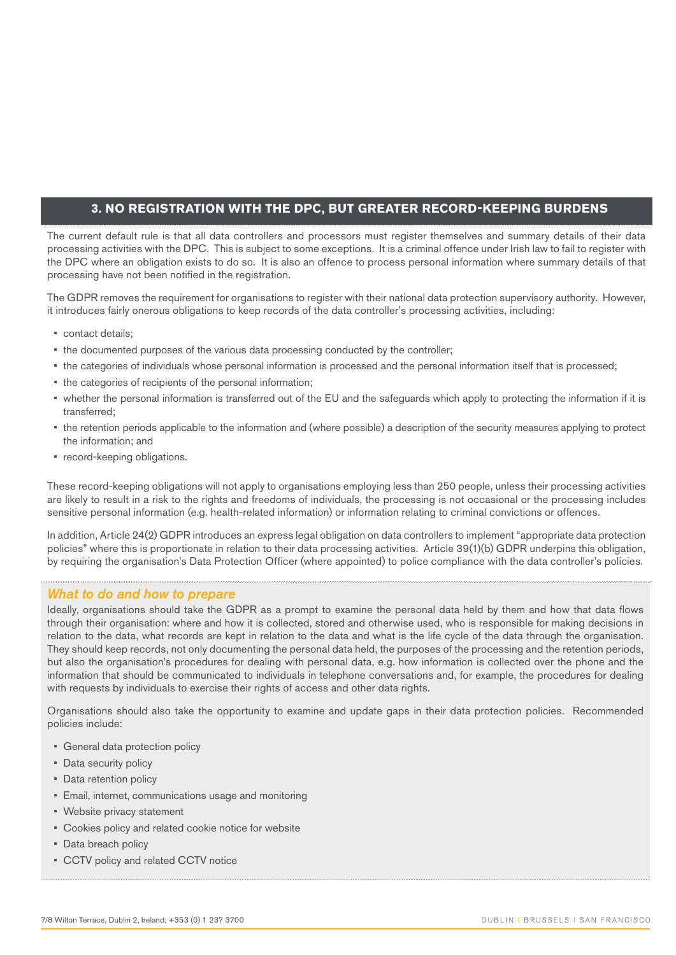## **3. NO REGISTRATION WITH THE DPC, BUT GREATER RECORD-KEEPING BURDENS**

The current default rule is that all data controllers and processors must register themselves and summary details of their data processing activities with the DPC. This is subject to some exceptions. It is a criminal offence under Irish law to fail to register with the DPC where an obligation exists to do so. It is also an offence to process personal information where summary details of that processing have not been notified in the registration.

The GDPR removes the requirement for organisations to register with their national data protection supervisory authority. However, it introduces fairly onerous obligations to keep records of the data controller's processing activities, including:

- contact details;
- the documented purposes of the various data processing conducted by the controller;
- the categories of individuals whose personal information is processed and the personal information itself that is processed;
- the categories of recipients of the personal information;
- whether the personal information is transferred out of the EU and the safeguards which apply to protecting the information if it is transferred;
- the retention periods applicable to the information and (where possible) a description of the security measures applying to protect the information; and
- record-keeping obligations.

These record-keeping obligations will not apply to organisations employing less than 250 people, unless their processing activities are likely to result in a risk to the rights and freedoms of individuals, the processing is not occasional or the processing includes sensitive personal information (e.g. health-related information) or information relating to criminal convictions or offences.

In addition, Article 24(2) GDPR introduces an express legal obligation on data controllers to implement "appropriate data protection policies" where this is proportionate in relation to their data processing activities. Article 39(1)(b) GDPR underpins this obligation, by requiring the organisation's Data Protection Officer (where appointed) to police compliance with the data controller's policies.

## *What to do and how to prepare*

Ideally, organisations should take the GDPR as a prompt to examine the personal data held by them and how that data flows through their organisation: where and how it is collected, stored and otherwise used, who is responsible for making decisions in relation to the data, what records are kept in relation to the data and what is the life cycle of the data through the organisation. They should keep records, not only documenting the personal data held, the purposes of the processing and the retention periods, but also the organisation's procedures for dealing with personal data, e.g. how information is collected over the phone and the information that should be communicated to individuals in telephone conversations and, for example, the procedures for dealing with requests by individuals to exercise their rights of access and other data rights.

Organisations should also take the opportunity to examine and update gaps in their data protection policies. Recommended policies include:

- General data protection policy
- Data security policy
- Data retention policy
- Email, internet, communications usage and monitoring
- Website privacy statement
- Cookies policy and related cookie notice for website
- Data breach policy
- CCTV policy and related CCTV notice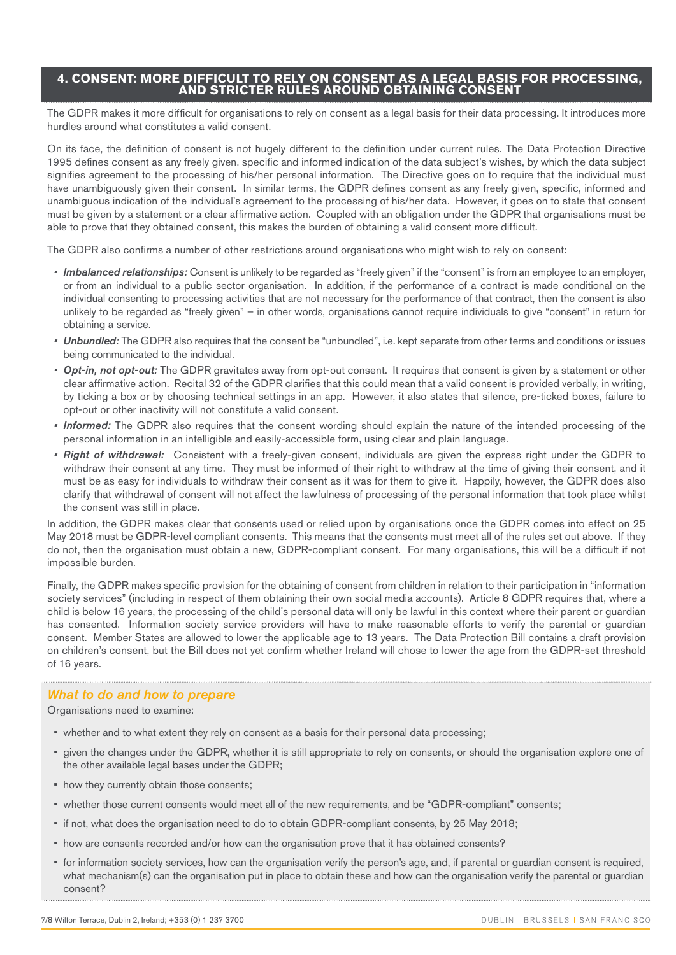## **4. CONSENT: MORE DIFFICULT TO RELY ON CONSENT AS A LEGAL BASIS FOR PROCESSING, AND STRICTER RULES AROUND OBTAINING CONSENT**

The GDPR makes it more difficult for organisations to rely on consent as a legal basis for their data processing. It introduces more hurdles around what constitutes a valid consent.

On its face, the definition of consent is not hugely different to the definition under current rules. The Data Protection Directive 1995 defines consent as any freely given, specific and informed indication of the data subject's wishes, by which the data subject signifies agreement to the processing of his/her personal information. The Directive goes on to require that the individual must have unambiguously given their consent. In similar terms, the GDPR defines consent as any freely given, specific, informed and unambiguous indication of the individual's agreement to the processing of his/her data. However, it goes on to state that consent must be given by a statement or a clear affirmative action. Coupled with an obligation under the GDPR that organisations must be able to prove that they obtained consent, this makes the burden of obtaining a valid consent more difficult.

The GDPR also confirms a number of other restrictions around organisations who might wish to rely on consent:

- *• Imbalanced relationships:* Consent is unlikely to be regarded as "freely given" if the "consent" is from an employee to an employer, or from an individual to a public sector organisation. In addition, if the performance of a contract is made conditional on the individual consenting to processing activities that are not necessary for the performance of that contract, then the consent is also unlikely to be regarded as "freely given" – in other words, organisations cannot require individuals to give "consent" in return for obtaining a service.
- *• Unbundled:* The GDPR also requires that the consent be "unbundled", i.e. kept separate from other terms and conditions or issues being communicated to the individual.
- *• Opt-in, not opt-out:* The GDPR gravitates away from opt-out consent. It requires that consent is given by a statement or other clear affirmative action. Recital 32 of the GDPR clarifies that this could mean that a valid consent is provided verbally, in writing, by ticking a box or by choosing technical settings in an app. However, it also states that silence, pre-ticked boxes, failure to opt-out or other inactivity will not constitute a valid consent.
- *• Informed:* The GDPR also requires that the consent wording should explain the nature of the intended processing of the personal information in an intelligible and easily-accessible form, using clear and plain language.
- *• Right of withdrawal:* Consistent with a freely-given consent, individuals are given the express right under the GDPR to withdraw their consent at any time. They must be informed of their right to withdraw at the time of giving their consent, and it must be as easy for individuals to withdraw their consent as it was for them to give it. Happily, however, the GDPR does also clarify that withdrawal of consent will not affect the lawfulness of processing of the personal information that took place whilst the consent was still in place.

In addition, the GDPR makes clear that consents used or relied upon by organisations once the GDPR comes into effect on 25 May 2018 must be GDPR-level compliant consents. This means that the consents must meet all of the rules set out above. If they do not, then the organisation must obtain a new, GDPR-compliant consent. For many organisations, this will be a difficult if not impossible burden.

Finally, the GDPR makes specific provision for the obtaining of consent from children in relation to their participation in "information society services" (including in respect of them obtaining their own social media accounts). Article 8 GDPR requires that, where a child is below 16 years, the processing of the child's personal data will only be lawful in this context where their parent or guardian has consented. Information society service providers will have to make reasonable efforts to verify the parental or guardian consent. Member States are allowed to lower the applicable age to 13 years. The Data Protection Bill contains a draft provision on children's consent, but the Bill does not yet confirm whether Ireland will chose to lower the age from the GDPR-set threshold of 16 years.

#### *What to do and how to prepare*

Organisations need to examine:

- whether and to what extent they rely on consent as a basis for their personal data processing;
- given the changes under the GDPR, whether it is still appropriate to rely on consents, or should the organisation explore one of the other available legal bases under the GDPR;
- how they currently obtain those consents;
- whether those current consents would meet all of the new requirements, and be "GDPR-compliant" consents;
- if not, what does the organisation need to do to obtain GDPR-compliant consents, by 25 May 2018;
- how are consents recorded and/or how can the organisation prove that it has obtained consents?
- for information society services, how can the organisation verify the person's age, and, if parental or guardian consent is required, what mechanism(s) can the organisation put in place to obtain these and how can the organisation verify the parental or guardian consent?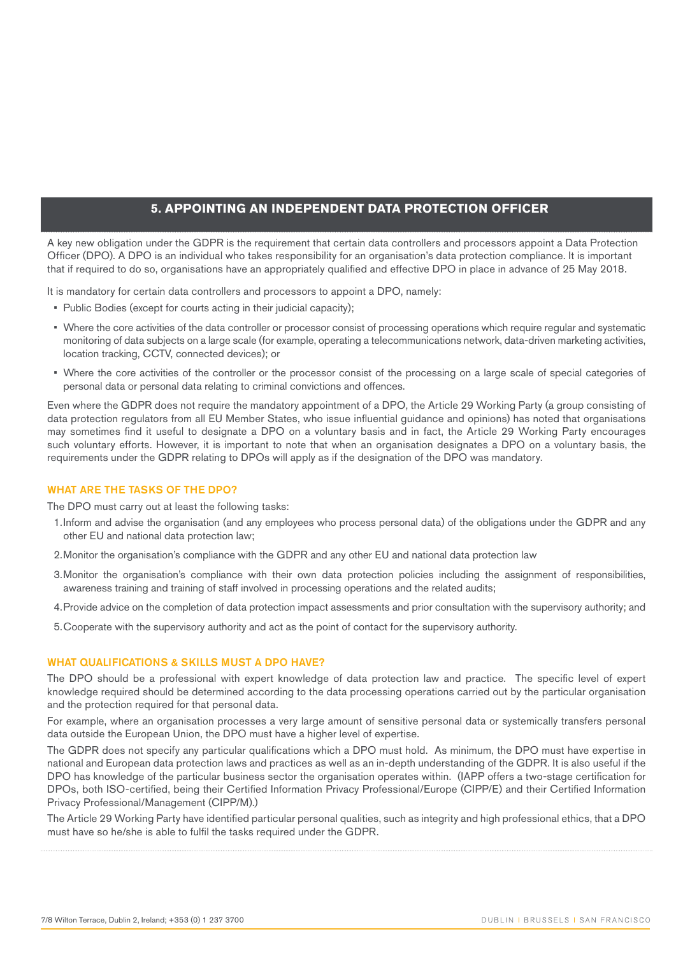## **5. APPOINTING AN INDEPENDENT DATA PROTECTION OFFICER**

A key new obligation under the GDPR is the requirement that certain data controllers and processors appoint a Data Protection Officer (DPO). A DPO is an individual who takes responsibility for an organisation's data protection compliance. It is important that if required to do so, organisations have an appropriately qualified and effective DPO in place in advance of 25 May 2018.

It is mandatory for certain data controllers and processors to appoint a DPO, namely:

- Public Bodies (except for courts acting in their judicial capacity);
- Where the core activities of the data controller or processor consist of processing operations which require regular and systematic monitoring of data subjects on a large scale (for example, operating a telecommunications network, data-driven marketing activities, location tracking, CCTV, connected devices); or
- Where the core activities of the controller or the processor consist of the processing on a large scale of special categories of personal data or personal data relating to criminal convictions and offences.

Even where the GDPR does not require the mandatory appointment of a DPO, the Article 29 Working Party (a group consisting of data protection regulators from all EU Member States, who issue influential guidance and opinions) has noted that organisations may sometimes find it useful to designate a DPO on a voluntary basis and in fact, the Article 29 Working Party encourages such voluntary efforts. However, it is important to note that when an organisation designates a DPO on a voluntary basis, the requirements under the GDPR relating to DPOs will apply as if the designation of the DPO was mandatory.

#### WHAT ARE THE TASKS OF THE DPO?

The DPO must carry out at least the following tasks:

- 1.Inform and advise the organisation (and any employees who process personal data) of the obligations under the GDPR and any other EU and national data protection law;
- 2.Monitor the organisation's compliance with the GDPR and any other EU and national data protection law
- 3.Monitor the organisation's compliance with their own data protection policies including the assignment of responsibilities, awareness training and training of staff involved in processing operations and the related audits;
- 4.Provide advice on the completion of data protection impact assessments and prior consultation with the supervisory authority; and
- 5.Cooperate with the supervisory authority and act as the point of contact for the supervisory authority.

#### WHAT QUALIFICATIONS & SKILLS MUST A DPO HAVE?

The DPO should be a professional with expert knowledge of data protection law and practice. The specific level of expert knowledge required should be determined according to the data processing operations carried out by the particular organisation and the protection required for that personal data.

For example, where an organisation processes a very large amount of sensitive personal data or systemically transfers personal data outside the European Union, the DPO must have a higher level of expertise.

The GDPR does not specify any particular qualifications which a DPO must hold. As minimum, the DPO must have expertise in national and European data protection laws and practices as well as an in-depth understanding of the GDPR. It is also useful if the DPO has knowledge of the particular business sector the organisation operates within. (IAPP offers a two-stage certification for DPOs, both ISO-certified, being their Certified Information Privacy Professional/Europe (CIPP/E) and their Certified Information Privacy Professional/Management (CIPP/M).)

The Article 29 Working Party have identified particular personal qualities, such as integrity and high professional ethics, that a DPO must have so he/she is able to fulfil the tasks required under the GDPR.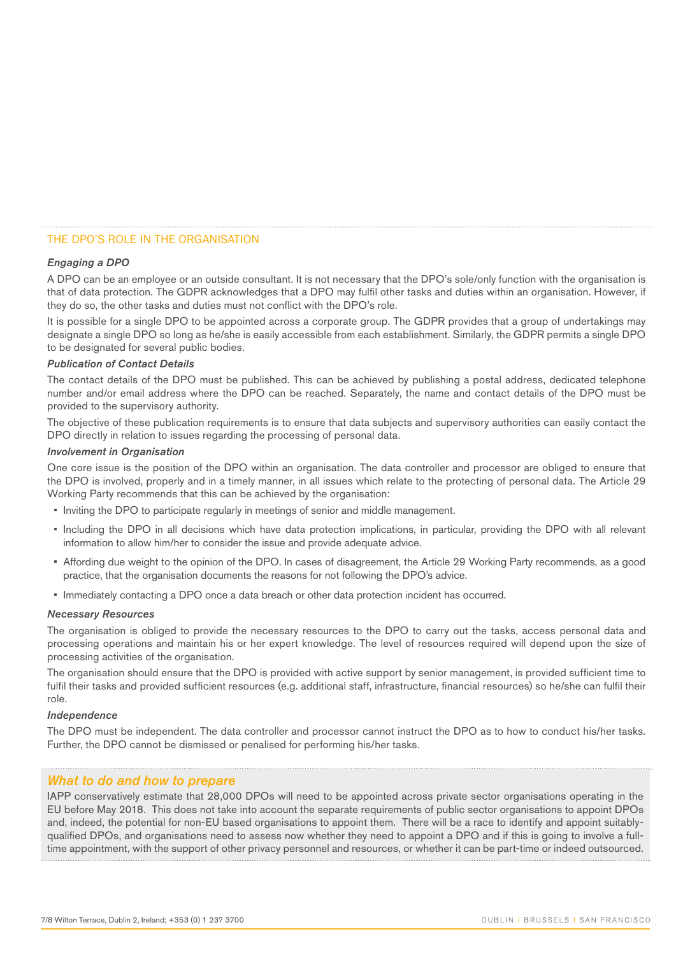## THE DPO'S ROLE IN THE ORGANISATION

#### *Engaging a DPO*

A DPO can be an employee or an outside consultant. It is not necessary that the DPO's sole/only function with the organisation is that of data protection. The GDPR acknowledges that a DPO may fulfil other tasks and duties within an organisation. However, if they do so, the other tasks and duties must not conflict with the DPO's role.

It is possible for a single DPO to be appointed across a corporate group. The GDPR provides that a group of undertakings may designate a single DPO so long as he/she is easily accessible from each establishment. Similarly, the GDPR permits a single DPO to be designated for several public bodies.

#### *Publication of Contact Details*

The contact details of the DPO must be published. This can be achieved by publishing a postal address, dedicated telephone number and/or email address where the DPO can be reached. Separately, the name and contact details of the DPO must be provided to the supervisory authority.

The objective of these publication requirements is to ensure that data subjects and supervisory authorities can easily contact the DPO directly in relation to issues regarding the processing of personal data.

#### *Involvement in Organisation*

One core issue is the position of the DPO within an organisation. The data controller and processor are obliged to ensure that the DPO is involved, properly and in a timely manner, in all issues which relate to the protecting of personal data. The Article 29 Working Party recommends that this can be achieved by the organisation:

- Inviting the DPO to participate regularly in meetings of senior and middle management.
- Including the DPO in all decisions which have data protection implications, in particular, providing the DPO with all relevant information to allow him/her to consider the issue and provide adequate advice.
- Affording due weight to the opinion of the DPO. In cases of disagreement, the Article 29 Working Party recommends, as a good practice, that the organisation documents the reasons for not following the DPO's advice.
- Immediately contacting a DPO once a data breach or other data protection incident has occurred.

#### *Necessary Resources*

The organisation is obliged to provide the necessary resources to the DPO to carry out the tasks, access personal data and processing operations and maintain his or her expert knowledge. The level of resources required will depend upon the size of processing activities of the organisation.

The organisation should ensure that the DPO is provided with active support by senior management, is provided sufficient time to fulfil their tasks and provided sufficient resources (e.g. additional staff, infrastructure, financial resources) so he/she can fulfil their role.

#### *Independence*

The DPO must be independent. The data controller and processor cannot instruct the DPO as to how to conduct his/her tasks. Further, the DPO cannot be dismissed or penalised for performing his/her tasks.

#### *What to do and how to prepare*

IAPP conservatively estimate that 28,000 DPOs will need to be appointed across private sector organisations operating in the EU before May 2018. This does not take into account the separate requirements of public sector organisations to appoint DPOs and, indeed, the potential for non-EU based organisations to appoint them. There will be a race to identify and appoint suitablyqualified DPOs, and organisations need to assess now whether they need to appoint a DPO and if this is going to involve a fulltime appointment, with the support of other privacy personnel and resources, or whether it can be part-time or indeed outsourced.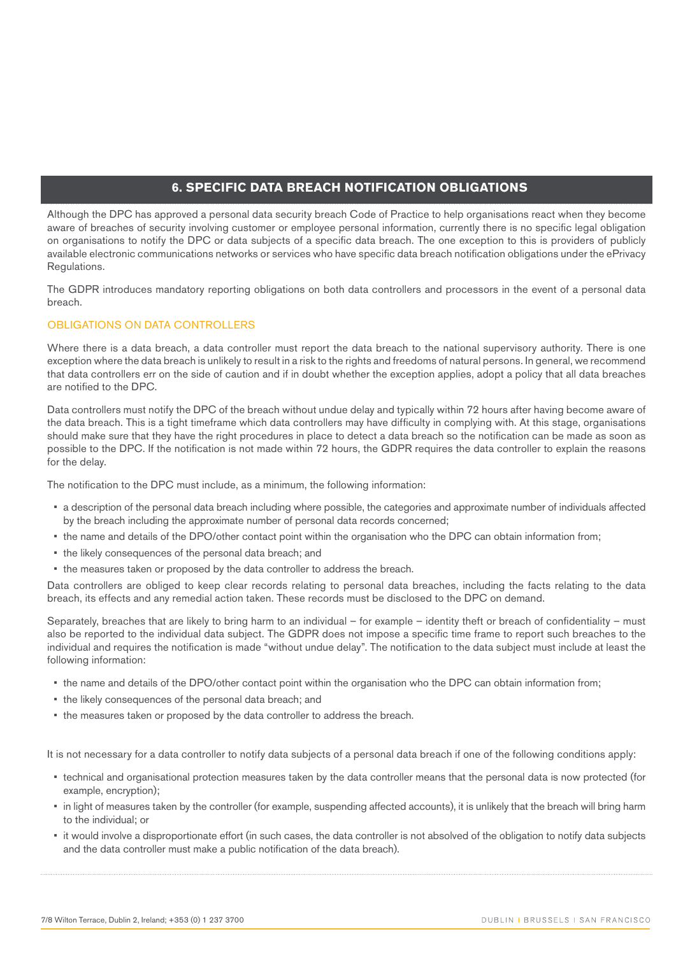## **6. SPECIFIC DATA BREACH NOTIFICATION OBLIGATIONS**

Although the DPC has approved a personal data security breach Code of Practice to help organisations react when they become aware of breaches of security involving customer or employee personal information, currently there is no specific legal obligation on organisations to notify the DPC or data subjects of a specific data breach. The one exception to this is providers of publicly available electronic communications networks or services who have specific data breach notification obligations under the ePrivacy Regulations.

The GDPR introduces mandatory reporting obligations on both data controllers and processors in the event of a personal data breach.

## OBLIGATIONS ON DATA CONTROLLERS

Where there is a data breach, a data controller must report the data breach to the national supervisory authority. There is one exception where the data breach is unlikely to result in a risk to the rights and freedoms of natural persons. In general, we recommend that data controllers err on the side of caution and if in doubt whether the exception applies, adopt a policy that all data breaches are notified to the DPC.

Data controllers must notify the DPC of the breach without undue delay and typically within 72 hours after having become aware of the data breach. This is a tight timeframe which data controllers may have difficulty in complying with. At this stage, organisations should make sure that they have the right procedures in place to detect a data breach so the notification can be made as soon as possible to the DPC. If the notification is not made within 72 hours, the GDPR requires the data controller to explain the reasons for the delay.

The notification to the DPC must include, as a minimum, the following information:

- a description of the personal data breach including where possible, the categories and approximate number of individuals affected by the breach including the approximate number of personal data records concerned;
- the name and details of the DPO/other contact point within the organisation who the DPC can obtain information from;
- the likely consequences of the personal data breach; and
- the measures taken or proposed by the data controller to address the breach.

Data controllers are obliged to keep clear records relating to personal data breaches, including the facts relating to the data breach, its effects and any remedial action taken. These records must be disclosed to the DPC on demand.

Separately, breaches that are likely to bring harm to an individual – for example – identity theft or breach of confidentiality – must also be reported to the individual data subject. The GDPR does not impose a specific time frame to report such breaches to the individual and requires the notification is made "without undue delay". The notification to the data subject must include at least the following information:

- the name and details of the DPO/other contact point within the organisation who the DPC can obtain information from;
- the likely consequences of the personal data breach; and
- the measures taken or proposed by the data controller to address the breach.

It is not necessary for a data controller to notify data subjects of a personal data breach if one of the following conditions apply:

- technical and organisational protection measures taken by the data controller means that the personal data is now protected (for example, encryption);
- in light of measures taken by the controller (for example, suspending affected accounts), it is unlikely that the breach will bring harm to the individual; or
- it would involve a disproportionate effort (in such cases, the data controller is not absolved of the obligation to notify data subjects and the data controller must make a public notification of the data breach).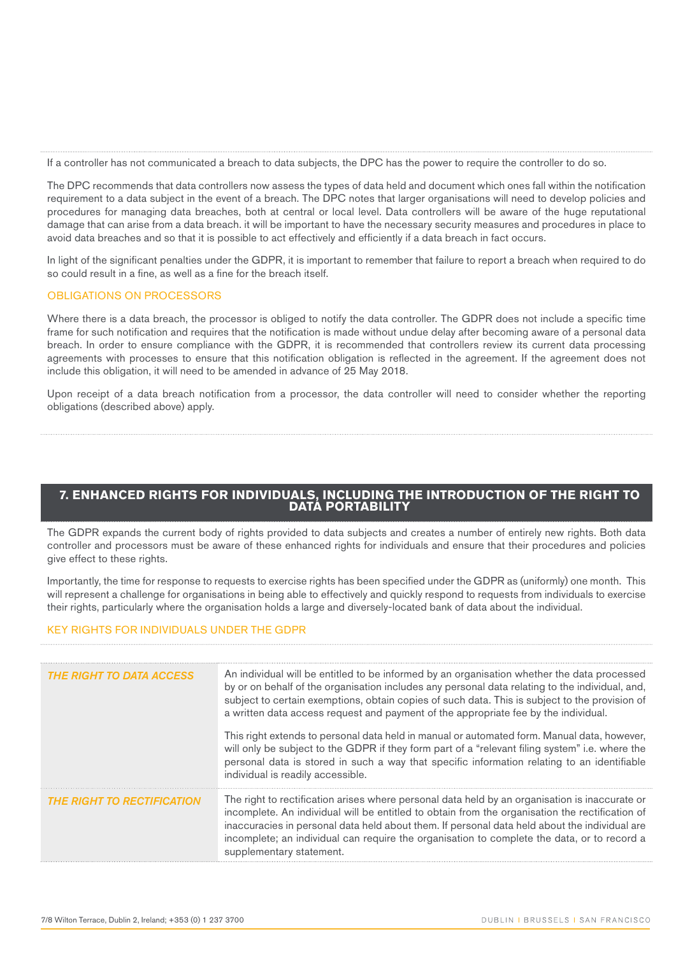If a controller has not communicated a breach to data subjects, the DPC has the power to require the controller to do so.

The DPC recommends that data controllers now assess the types of data held and document which ones fall within the notification requirement to a data subject in the event of a breach. The DPC notes that larger organisations will need to develop policies and procedures for managing data breaches, both at central or local level. Data controllers will be aware of the huge reputational damage that can arise from a data breach. it will be important to have the necessary security measures and procedures in place to avoid data breaches and so that it is possible to act effectively and efficiently if a data breach in fact occurs.

In light of the significant penalties under the GDPR, it is important to remember that failure to report a breach when required to do so could result in a fine, as well as a fine for the breach itself.

## OBLIGATIONS ON PROCESSORS

Where there is a data breach, the processor is obliged to notify the data controller. The GDPR does not include a specific time frame for such notification and requires that the notification is made without undue delay after becoming aware of a personal data breach. In order to ensure compliance with the GDPR, it is recommended that controllers review its current data processing agreements with processes to ensure that this notification obligation is reflected in the agreement. If the agreement does not include this obligation, it will need to be amended in advance of 25 May 2018.

Upon receipt of a data breach notification from a processor, the data controller will need to consider whether the reporting obligations (described above) apply.

## **7. ENHANCED RIGHTS FOR INDIVIDUALS, INCLUDING THE INTRODUCTION OF THE RIGHT TO DATA PORTABILITY**

The GDPR expands the current body of rights provided to data subjects and creates a number of entirely new rights. Both data controller and processors must be aware of these enhanced rights for individuals and ensure that their procedures and policies give effect to these rights.

Importantly, the time for response to requests to exercise rights has been specified under the GDPR as (uniformly) one month. This will represent a challenge for organisations in being able to effectively and quickly respond to requests from individuals to exercise their rights, particularly where the organisation holds a large and diversely-located bank of data about the individual.

## KEY RIGHTS FOR INDIVIDUALS UNDER THE GDPR

| <b>THE RIGHT TO DATA ACCESS</b>   | An individual will be entitled to be informed by an organisation whether the data processed<br>by or on behalf of the organisation includes any personal data relating to the individual, and,<br>subject to certain exemptions, obtain copies of such data. This is subject to the provision of<br>a written data access request and payment of the appropriate fee by the individual.                                       |
|-----------------------------------|-------------------------------------------------------------------------------------------------------------------------------------------------------------------------------------------------------------------------------------------------------------------------------------------------------------------------------------------------------------------------------------------------------------------------------|
|                                   | This right extends to personal data held in manual or automated form. Manual data, however,<br>will only be subject to the GDPR if they form part of a "relevant filing system" i.e. where the<br>personal data is stored in such a way that specific information relating to an identifiable<br>individual is readily accessible.                                                                                            |
| <b>THE RIGHT TO RECTIFICATION</b> | The right to rectification arises where personal data held by an organisation is inaccurate or<br>incomplete. An individual will be entitled to obtain from the organisation the rectification of<br>inaccuracies in personal data held about them. If personal data held about the individual are<br>incomplete; an individual can require the organisation to complete the data, or to record a<br>supplementary statement. |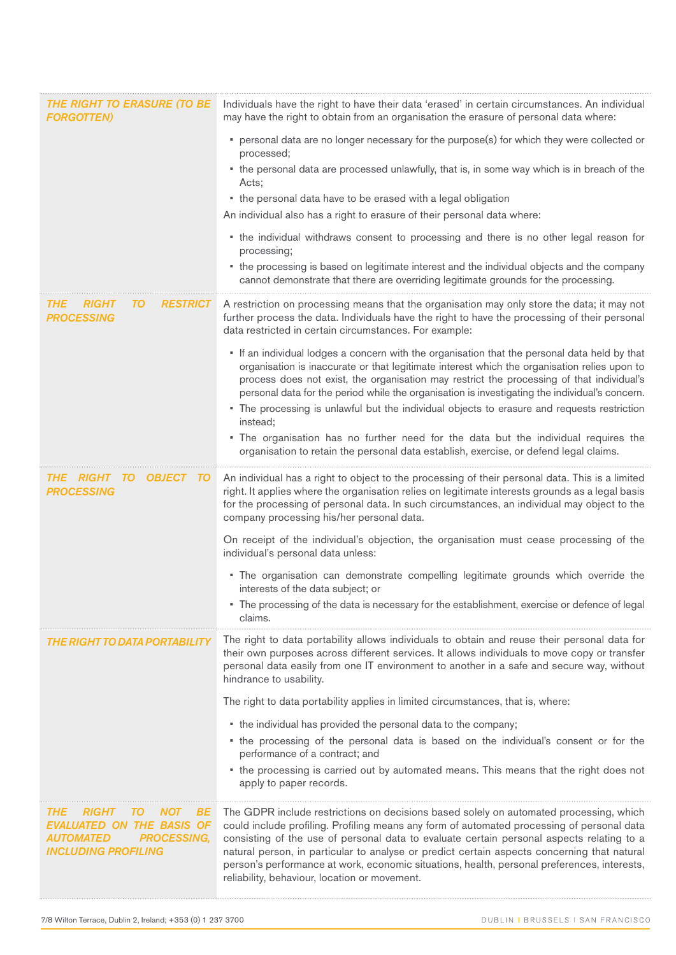| <b>THE RIGHT TO ERASURE (TO BE</b><br><b>FORGOTTEN)</b>                                                                                                          | Individuals have the right to have their data 'erased' in certain circumstances. An individual<br>may have the right to obtain from an organisation the erasure of personal data where:                                                                                                                                                                                                                                                                                                                                          |
|------------------------------------------------------------------------------------------------------------------------------------------------------------------|----------------------------------------------------------------------------------------------------------------------------------------------------------------------------------------------------------------------------------------------------------------------------------------------------------------------------------------------------------------------------------------------------------------------------------------------------------------------------------------------------------------------------------|
|                                                                                                                                                                  | • personal data are no longer necessary for the purpose(s) for which they were collected or<br>processed;                                                                                                                                                                                                                                                                                                                                                                                                                        |
|                                                                                                                                                                  | • the personal data are processed unlawfully, that is, in some way which is in breach of the<br>Acts;                                                                                                                                                                                                                                                                                                                                                                                                                            |
|                                                                                                                                                                  | • the personal data have to be erased with a legal obligation<br>An individual also has a right to erasure of their personal data where:                                                                                                                                                                                                                                                                                                                                                                                         |
|                                                                                                                                                                  | • the individual withdraws consent to processing and there is no other legal reason for<br>processing;                                                                                                                                                                                                                                                                                                                                                                                                                           |
|                                                                                                                                                                  | • the processing is based on legitimate interest and the individual objects and the company<br>cannot demonstrate that there are overriding legitimate grounds for the processing.                                                                                                                                                                                                                                                                                                                                               |
| <b>RIGHI</b><br>10<br><b>RESIRICI</b><br>IHE<br><b>PROCESSING</b>                                                                                                | A restriction on processing means that the organisation may only store the data; it may not<br>further process the data. Individuals have the right to have the processing of their personal<br>data restricted in certain circumstances. For example:                                                                                                                                                                                                                                                                           |
|                                                                                                                                                                  | • If an individual lodges a concern with the organisation that the personal data held by that<br>organisation is inaccurate or that legitimate interest which the organisation relies upon to<br>process does not exist, the organisation may restrict the processing of that individual's<br>personal data for the period while the organisation is investigating the individual's concern.                                                                                                                                     |
|                                                                                                                                                                  | • The processing is unlawful but the individual objects to erasure and requests restriction<br>instead:                                                                                                                                                                                                                                                                                                                                                                                                                          |
|                                                                                                                                                                  | . The organisation has no further need for the data but the individual requires the<br>organisation to retain the personal data establish, exercise, or defend legal claims.                                                                                                                                                                                                                                                                                                                                                     |
| THE<br>OBJECT<br>TO<br>RIGHT<br><b>PROCESSING</b>                                                                                                                | An individual has a right to object to the processing of their personal data. This is a limited<br>right. It applies where the organisation relies on legitimate interests grounds as a legal basis<br>for the processing of personal data. In such circumstances, an individual may object to the<br>company processing his/her personal data.                                                                                                                                                                                  |
|                                                                                                                                                                  | On receipt of the individual's objection, the organisation must cease processing of the<br>individual's personal data unless:                                                                                                                                                                                                                                                                                                                                                                                                    |
|                                                                                                                                                                  | . The organisation can demonstrate compelling legitimate grounds which override the<br>interests of the data subject; or                                                                                                                                                                                                                                                                                                                                                                                                         |
|                                                                                                                                                                  | . The processing of the data is necessary for the establishment, exercise or defence of legal<br>claims.                                                                                                                                                                                                                                                                                                                                                                                                                         |
|                                                                                                                                                                  | The right to data portability allows individuals to obtain and reuse their personal data for<br>their own purposes across different services. It allows individuals to move copy or transfer<br>personal data easily from one IT environment to another in a safe and secure way, without<br>hindrance to usability.                                                                                                                                                                                                             |
|                                                                                                                                                                  | The right to data portability applies in limited circumstances, that is, where:                                                                                                                                                                                                                                                                                                                                                                                                                                                  |
|                                                                                                                                                                  | • the individual has provided the personal data to the company;<br>• the processing of the personal data is based on the individual's consent or for the                                                                                                                                                                                                                                                                                                                                                                         |
|                                                                                                                                                                  | performance of a contract; and                                                                                                                                                                                                                                                                                                                                                                                                                                                                                                   |
|                                                                                                                                                                  | • the processing is carried out by automated means. This means that the right does not<br>apply to paper records.                                                                                                                                                                                                                                                                                                                                                                                                                |
| <i>THE</i><br><i><b>RIGHT</b></i><br>BЕ<br>10<br>NOI<br>EVALUATED ON THE BASIS OF<br><i><b>AUTOMATED</b></i><br><b>PROCESSING,</b><br><b>INCLUDING PROFILING</b> | The GDPR include restrictions on decisions based solely on automated processing, which<br>could include profiling. Profiling means any form of automated processing of personal data<br>consisting of the use of personal data to evaluate certain personal aspects relating to a<br>natural person, in particular to analyse or predict certain aspects concerning that natural<br>person's performance at work, economic situations, health, personal preferences, interests,<br>reliability, behaviour, location or movement. |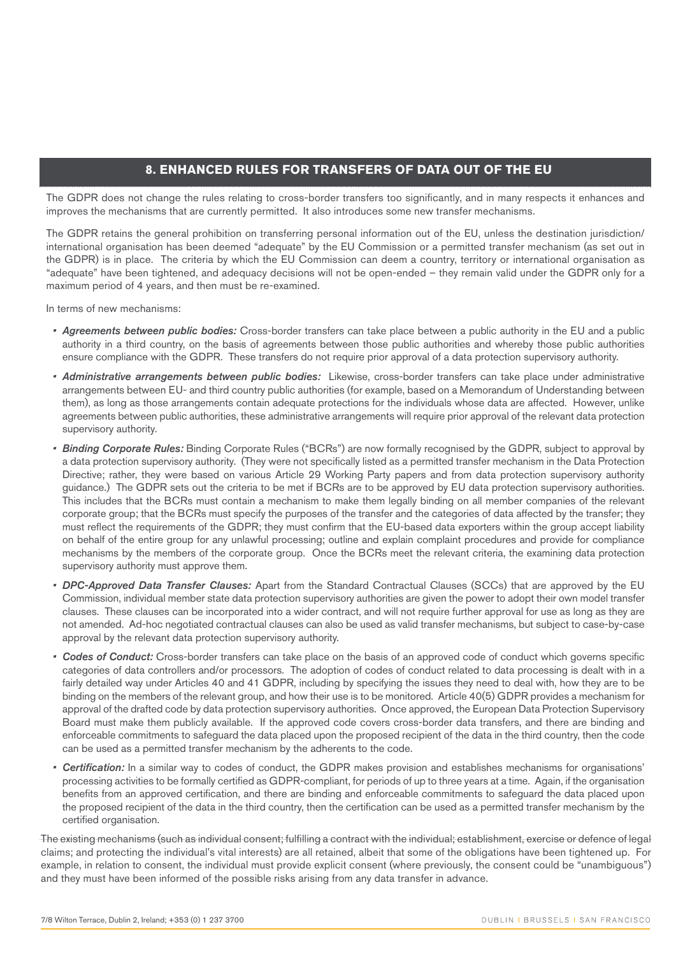## **8. ENHANCED RULES FOR TRANSFERS OF DATA OUT OF THE EU**

The GDPR does not change the rules relating to cross-border transfers too significantly, and in many respects it enhances and improves the mechanisms that are currently permitted. It also introduces some new transfer mechanisms.

The GDPR retains the general prohibition on transferring personal information out of the EU, unless the destination jurisdiction/ international organisation has been deemed "adequate" by the EU Commission or a permitted transfer mechanism (as set out in the GDPR) is in place. The criteria by which the EU Commission can deem a country, territory or international organisation as "adequate" have been tightened, and adequacy decisions will not be open-ended – they remain valid under the GDPR only for a maximum period of 4 years, and then must be re-examined.

In terms of new mechanisms:

- *• Agreements between public bodies:* Cross-border transfers can take place between a public authority in the EU and a public authority in a third country, on the basis of agreements between those public authorities and whereby those public authorities ensure compliance with the GDPR. These transfers do not require prior approval of a data protection supervisory authority.
- *• Administrative arrangements between public bodies:* Likewise, cross-border transfers can take place under administrative arrangements between EU- and third country public authorities (for example, based on a Memorandum of Understanding between them), as long as those arrangements contain adequate protections for the individuals whose data are affected. However, unlike agreements between public authorities, these administrative arrangements will require prior approval of the relevant data protection supervisory authority.
- *• Binding Corporate Rules:* Binding Corporate Rules ("BCRs") are now formally recognised by the GDPR, subject to approval by a data protection supervisory authority. (They were not specifically listed as a permitted transfer mechanism in the Data Protection Directive; rather, they were based on various Article 29 Working Party papers and from data protection supervisory authority guidance.) The GDPR sets out the criteria to be met if BCRs are to be approved by EU data protection supervisory authorities. This includes that the BCRs must contain a mechanism to make them legally binding on all member companies of the relevant corporate group; that the BCRs must specify the purposes of the transfer and the categories of data affected by the transfer; they must reflect the requirements of the GDPR; they must confirm that the EU-based data exporters within the group accept liability on behalf of the entire group for any unlawful processing; outline and explain complaint procedures and provide for compliance mechanisms by the members of the corporate group. Once the BCRs meet the relevant criteria, the examining data protection supervisory authority must approve them.
- *• DPC-Approved Data Transfer Clauses:* Apart from the Standard Contractual Clauses (SCCs) that are approved by the EU Commission, individual member state data protection supervisory authorities are given the power to adopt their own model transfer clauses. These clauses can be incorporated into a wider contract, and will not require further approval for use as long as they are not amended. Ad-hoc negotiated contractual clauses can also be used as valid transfer mechanisms, but subject to case-by-case approval by the relevant data protection supervisory authority.
- *• Codes of Conduct:* Cross-border transfers can take place on the basis of an approved code of conduct which governs specific categories of data controllers and/or processors. The adoption of codes of conduct related to data processing is dealt with in a fairly detailed way under Articles 40 and 41 GDPR, including by specifying the issues they need to deal with, how they are to be binding on the members of the relevant group, and how their use is to be monitored. Article 40(5) GDPR provides a mechanism for approval of the drafted code by data protection supervisory authorities. Once approved, the European Data Protection Supervisory Board must make them publicly available. If the approved code covers cross-border data transfers, and there are binding and enforceable commitments to safeguard the data placed upon the proposed recipient of the data in the third country, then the code can be used as a permitted transfer mechanism by the adherents to the code.
- *• Certification:* In a similar way to codes of conduct, the GDPR makes provision and establishes mechanisms for organisations' processing activities to be formally certified as GDPR-compliant, for periods of up to three years at a time. Again, if the organisation benefits from an approved certification, and there are binding and enforceable commitments to safeguard the data placed upon the proposed recipient of the data in the third country, then the certification can be used as a permitted transfer mechanism by the certified organisation.

The existing mechanisms (such as individual consent; fulfilling a contract with the individual; establishment, exercise or defence of legal claims; and protecting the individual's vital interests) are all retained, albeit that some of the obligations have been tightened up. For example, in relation to consent, the individual must provide explicit consent (where previously, the consent could be "unambiguous") and they must have been informed of the possible risks arising from any data transfer in advance.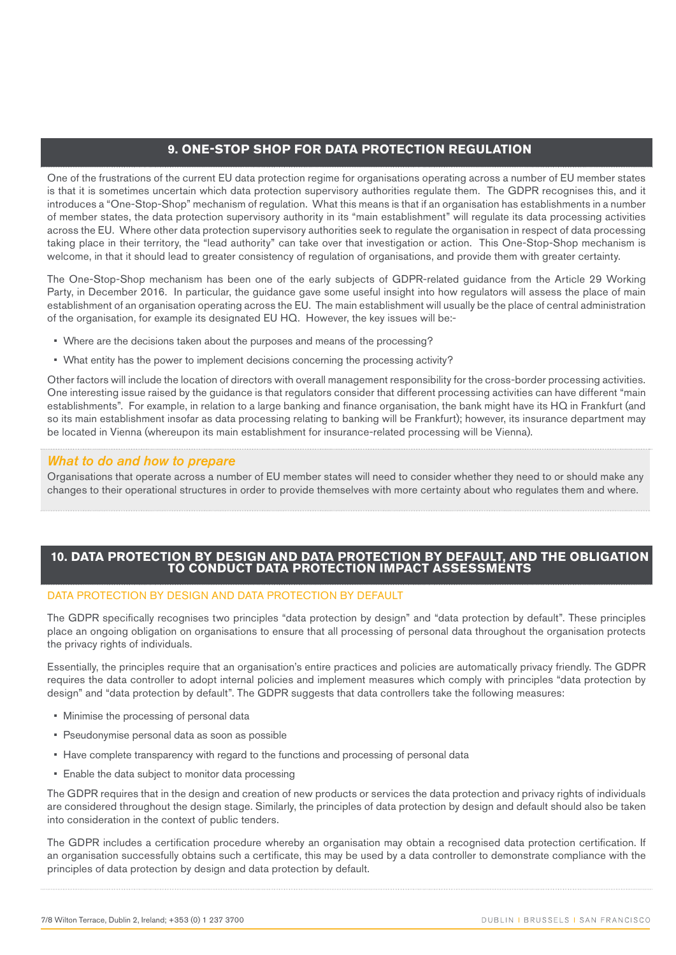## **9. ONE-STOP SHOP FOR DATA PROTECTION REGULATION**

One of the frustrations of the current EU data protection regime for organisations operating across a number of EU member states is that it is sometimes uncertain which data protection supervisory authorities regulate them. The GDPR recognises this, and it introduces a "One-Stop-Shop" mechanism of regulation. What this means is that if an organisation has establishments in a number of member states, the data protection supervisory authority in its "main establishment" will regulate its data processing activities across the EU. Where other data protection supervisory authorities seek to regulate the organisation in respect of data processing taking place in their territory, the "lead authority" can take over that investigation or action. This One-Stop-Shop mechanism is welcome, in that it should lead to greater consistency of regulation of organisations, and provide them with greater certainty.

The One-Stop-Shop mechanism has been one of the early subjects of GDPR-related guidance from the Article 29 Working Party, in December 2016. In particular, the guidance gave some useful insight into how regulators will assess the place of main establishment of an organisation operating across the EU. The main establishment will usually be the place of central administration of the organisation, for example its designated EU HQ. However, the key issues will be:-

- Where are the decisions taken about the purposes and means of the processing?
- What entity has the power to implement decisions concerning the processing activity?

Other factors will include the location of directors with overall management responsibility for the cross-border processing activities. One interesting issue raised by the guidance is that regulators consider that different processing activities can have different "main establishments". For example, in relation to a large banking and finance organisation, the bank might have its HQ in Frankfurt (and so its main establishment insofar as data processing relating to banking will be Frankfurt); however, its insurance department may be located in Vienna (whereupon its main establishment for insurance-related processing will be Vienna).

## *What to do and how to prepare*

Organisations that operate across a number of EU member states will need to consider whether they need to or should make any changes to their operational structures in order to provide themselves with more certainty about who regulates them and where.

## **10. DATA PROTECTION BY DESIGN AND DATA PROTECTION BY DEFAULT, AND THE OBLIGATION TO CONDUCT DATA PROTECTION IMPACT ASSESSMENTS**

#### DATA PROTECTION BY DESIGN AND DATA PROTECTION BY DEFAULT

The GDPR specifically recognises two principles "data protection by design" and "data protection by default". These principles place an ongoing obligation on organisations to ensure that all processing of personal data throughout the organisation protects the privacy rights of individuals.

Essentially, the principles require that an organisation's entire practices and policies are automatically privacy friendly. The GDPR requires the data controller to adopt internal policies and implement measures which comply with principles "data protection by design" and "data protection by default". The GDPR suggests that data controllers take the following measures:

- Minimise the processing of personal data
- Pseudonymise personal data as soon as possible
- Have complete transparency with regard to the functions and processing of personal data
- Enable the data subject to monitor data processing

The GDPR requires that in the design and creation of new products or services the data protection and privacy rights of individuals are considered throughout the design stage. Similarly, the principles of data protection by design and default should also be taken into consideration in the context of public tenders.

The GDPR includes a certification procedure whereby an organisation may obtain a recognised data protection certification. If an organisation successfully obtains such a certificate, this may be used by a data controller to demonstrate compliance with the principles of data protection by design and data protection by default.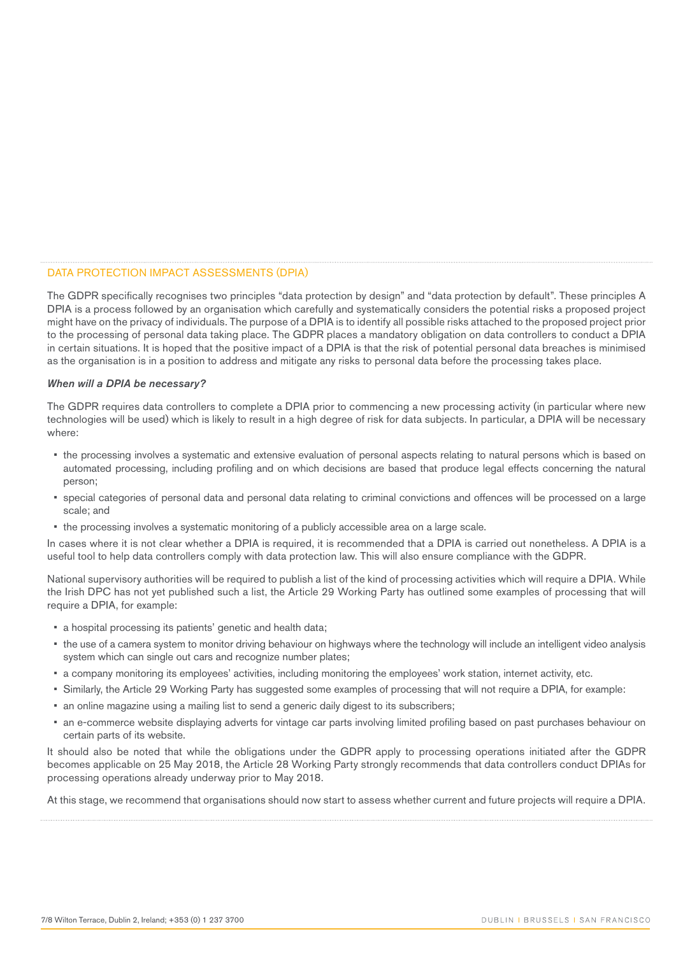#### DATA PROTECTION IMPACT ASSESSMENTS (DPIA)

The GDPR specifically recognises two principles "data protection by design" and "data protection by default". These principles A DPIA is a process followed by an organisation which carefully and systematically considers the potential risks a proposed project might have on the privacy of individuals. The purpose of a DPIA is to identify all possible risks attached to the proposed project prior to the processing of personal data taking place. The GDPR places a mandatory obligation on data controllers to conduct a DPIA in certain situations. It is hoped that the positive impact of a DPIA is that the risk of potential personal data breaches is minimised as the organisation is in a position to address and mitigate any risks to personal data before the processing takes place.

#### *When will a DPIA be necessary?*

The GDPR requires data controllers to complete a DPIA prior to commencing a new processing activity (in particular where new technologies will be used) which is likely to result in a high degree of risk for data subjects. In particular, a DPIA will be necessary where:

- the processing involves a systematic and extensive evaluation of personal aspects relating to natural persons which is based on automated processing, including profiling and on which decisions are based that produce legal effects concerning the natural person;
- special categories of personal data and personal data relating to criminal convictions and offences will be processed on a large scale; and
- the processing involves a systematic monitoring of a publicly accessible area on a large scale.

In cases where it is not clear whether a DPIA is required, it is recommended that a DPIA is carried out nonetheless. A DPIA is a useful tool to help data controllers comply with data protection law. This will also ensure compliance with the GDPR.

National supervisory authorities will be required to publish a list of the kind of processing activities which will require a DPIA. While the Irish DPC has not yet published such a list, the Article 29 Working Party has outlined some examples of processing that will require a DPIA, for example:

- a hospital processing its patients' genetic and health data;
- the use of a camera system to monitor driving behaviour on highways where the technology will include an intelligent video analysis system which can single out cars and recognize number plates;
- a company monitoring its employees' activities, including monitoring the employees' work station, internet activity, etc.
- Similarly, the Article 29 Working Party has suggested some examples of processing that will not require a DPIA, for example:
- an online magazine using a mailing list to send a generic daily digest to its subscribers;
- an e-commerce website displaying adverts for vintage car parts involving limited profiling based on past purchases behaviour on certain parts of its website.

It should also be noted that while the obligations under the GDPR apply to processing operations initiated after the GDPR becomes applicable on 25 May 2018, the Article 28 Working Party strongly recommends that data controllers conduct DPIAs for processing operations already underway prior to May 2018.

At this stage, we recommend that organisations should now start to assess whether current and future projects will require a DPIA.